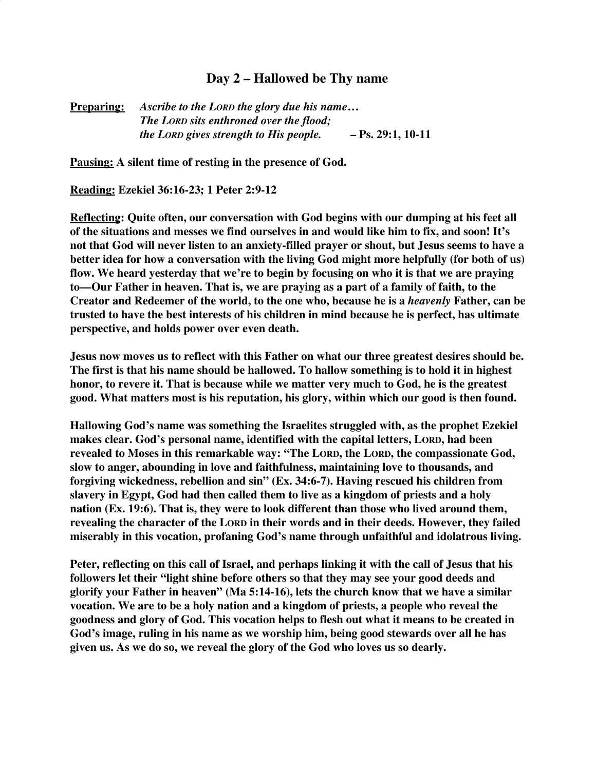## **Day 2 – Hallowed be Thy name**

**Preparing:** *Ascribe to the LORD the glory due his name***…** *The LORD sits enthroned over the flood; the LORD gives strength to His people.* **– Ps. 29:1, 10-11**

**Pausing: A silent time of resting in the presence of God.**

**Reading: Ezekiel 36:16-23; 1 Peter 2:9-12**

**Reflecting: Quite often, our conversation with God begins with our dumping at his feet all of the situations and messes we find ourselves in and would like him to fix, and soon! It's not that God will never listen to an anxiety-filled prayer or shout, but Jesus seems to have a better idea for how a conversation with the living God might more helpfully (for both of us) flow. We heard yesterday that we're to begin by focusing on who it is that we are praying to—Our Father in heaven. That is, we are praying as a part of a family of faith, to the Creator and Redeemer of the world, to the one who, because he is a** *heavenly* **Father, can be trusted to have the best interests of his children in mind because he is perfect, has ultimate perspective, and holds power over even death.**

**Jesus now moves us to reflect with this Father on what our three greatest desires should be. The first is that his name should be hallowed. To hallow something is to hold it in highest honor, to revere it. That is because while we matter very much to God, he is the greatest good. What matters most is his reputation, his glory, within which our good is then found.**

**Hallowing God's name was something the Israelites struggled with, as the prophet Ezekiel makes clear. God's personal name, identified with the capital letters, LORD, had been revealed to Moses in this remarkable way: "The LORD, the LORD, the compassionate God, slow to anger, abounding in love and faithfulness, maintaining love to thousands, and forgiving wickedness, rebellion and sin" (Ex. 34:6-7). Having rescued his children from slavery in Egypt, God had then called them to live as a kingdom of priests and a holy nation (Ex. 19:6). That is, they were to look different than those who lived around them, revealing the character of the LORD in their words and in their deeds. However, they failed miserably in this vocation, profaning God's name through unfaithful and idolatrous living.**

**Peter, reflecting on this call of Israel, and perhaps linking it with the call of Jesus that his followers let their "light shine before others so that they may see your good deeds and glorify your Father in heaven" (Ma 5:14-16), lets the church know that we have a similar vocation. We are to be a holy nation and a kingdom of priests, a people who reveal the goodness and glory of God. This vocation helps to flesh out what it means to be created in God's image, ruling in his name as we worship him, being good stewards over all he has given us. As we do so, we reveal the glory of the God who loves us so dearly.**